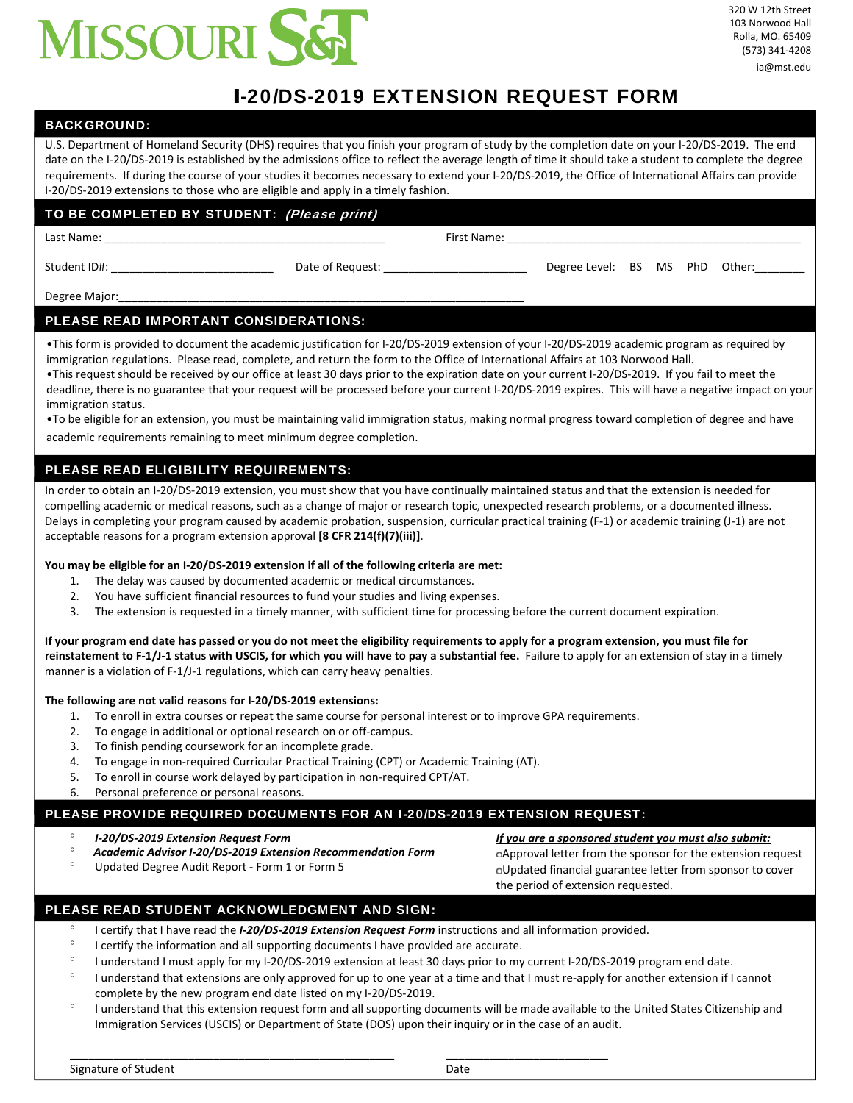

### I-20/DS-2019 EXTENSION REQUEST FORM

#### BACKGROUND:

U.S. Department of Homeland Security (DHS) requires that you finish your program of study by the completion date on your I‐20/DS‐2019. The end date on the I‐20/DS‐2019 is established by the admissions office to reflect the average length of time it should take a student to complete the degree requirements. If during the course of your studies it becomes necessary to extend your I‐20/DS‐2019, the Office of International Affairs can provide I-20/DS-2019 extensions to those who are eligible and apply in a timely fashion.

#### TO BE COMPLETED BY STUDENT: (Please print)

Last Name: \_\_\_\_\_\_\_\_\_\_\_\_\_\_\_\_\_\_\_\_\_\_\_\_\_\_\_\_\_\_\_\_\_\_\_\_\_\_\_\_\_\_\_\_\_ First Name: \_\_\_\_\_\_\_\_\_\_\_\_\_\_\_\_\_\_\_\_\_\_\_\_\_\_\_\_\_\_\_\_\_\_\_\_\_\_\_\_\_\_\_\_\_\_\_

Student ID#: The Community of Student ID attention of Request: Level: BS MS PhD Other:

Degree Major:

#### PLEASE READ IMPORTANT CONSIDERATIONS:

•This form is provided to document the academic justification for I-20/DS-2019 extension of your I-20/DS-2019 academic program as required by immigration regulations. Please read, complete, and return the form to the Office of International Affairs at 103 Norwood Hall.

| •This request should be received by our office at least 30 days prior to the expiration date on your current I-20/DS-2019. If you fail to meet the     |
|--------------------------------------------------------------------------------------------------------------------------------------------------------|
| deadline, there is no guarantee that your request will be processed before your current I-20/DS-2019 expires. This will have a negative impact on your |
| immigration status.                                                                                                                                    |

| . To be eligible for an extension, you must be maintaining valid immigration status, making normal progress toward completion of degree and have |  |  |
|--------------------------------------------------------------------------------------------------------------------------------------------------|--|--|
|                                                                                                                                                  |  |  |

academic requirements remaining to meet minimum degree completion.

#### PLEASE READ ELIGIBILITY REQUIREMENTS:

In order to obtain an I‐20/DS‐2019 extension, you must show that you have continually maintained status and that the extension is needed for compelling academic or medical reasons, such as a change of major or research topic, unexpected research problems, or a documented illness. Delays in completing your program caused by academic probation, suspension, curricular practical training (F‐1) or academic training (J‐1) are not acceptable reasons for a program extension approval **[8 CFR 214(f)(7)(iii)]**.

#### You may be eligible for an I-20/DS-2019 extension if all of the following criteria are met:

- 1. The delay was caused by documented academic or medical circumstances.
- 2. You have sufficient financial resources to fund your studies and living expenses.
- 3. The extension is requested in a timely manner, with sufficient time for processing before the current document expiration.

If your program end date has passed or you do not meet the eligibility requirements to apply for a program extension, you must file for reinstatement to F-1/J-1 status with USCIS, for which you will have to pay a substantial fee. Failure to apply for an extension of stay in a timely manner is a violation of F-1/J-1 regulations, which can carry heavy penalties.

#### **The following are not valid reasons for I‐20/DS‐2019 extensions:**

- 1. To enroll in extra courses or repeat the same course for personal interest or to improve GPA requirements.
- 2. To engage in additional or optional research on or off‐campus.
- 3. To finish pending coursework for an incomplete grade.
- 4. To engage in non-required Curricular Practical Training (CPT) or Academic Training (AT).
- 5. To enroll in course work delayed by participation in non‐required CPT/AT.
- 6. Personal preference or personal reasons.

#### PLEASE PROVIDE REQUIRED DOCUMENTS FOR AN I-20/DS-2019 EXTENSION REQUEST:

- ° *I‐20/DS‐2019 Extension Request Form*
- ° *Academic Advisor I‐20/DS‐2019 Extension Recommendation Form*
- 

*If you are a sponsored student you must also submit:* Approval letter from the sponsor for the extension request Updated Degree Audit Report - Form 1 or Form 5 Updated financial guarantee letter from sponsor to cover the period of extension requested.

#### PLEASE READ STUDENT ACKNOWLEDGMENT AND SIGN:

I certify that I have read the *I‐20/DS‐2019 Extension Request Form* instructions and all information provided.

\_\_\_\_\_\_\_\_\_\_\_\_\_\_\_\_\_\_\_\_\_\_\_\_\_\_\_\_\_\_\_\_\_\_\_\_\_\_\_\_\_\_\_\_\_\_\_\_\_\_\_\_ \_\_\_\_\_\_\_\_\_\_\_\_\_\_\_\_\_\_\_\_\_\_\_\_\_\_

- <sup>o</sup> I certify the information and all supporting documents I have provided are accurate.
- I understand I must apply for my I‐20/DS‐2019 extension at least 30 days prior to my current I‐20/DS‐2019 program end date.
- ° I understand that extensions are only approved for up to one year at a time and that I must re-apply for another extension if I cannot complete by the new program end date listed on my I‐20/DS‐2019.
- I understand that this extension request form and all supporting documents will be made available to the United States Citizenship and Immigration Services (USCIS) or Department of State (DOS) upon their inquiry or in the case of an audit.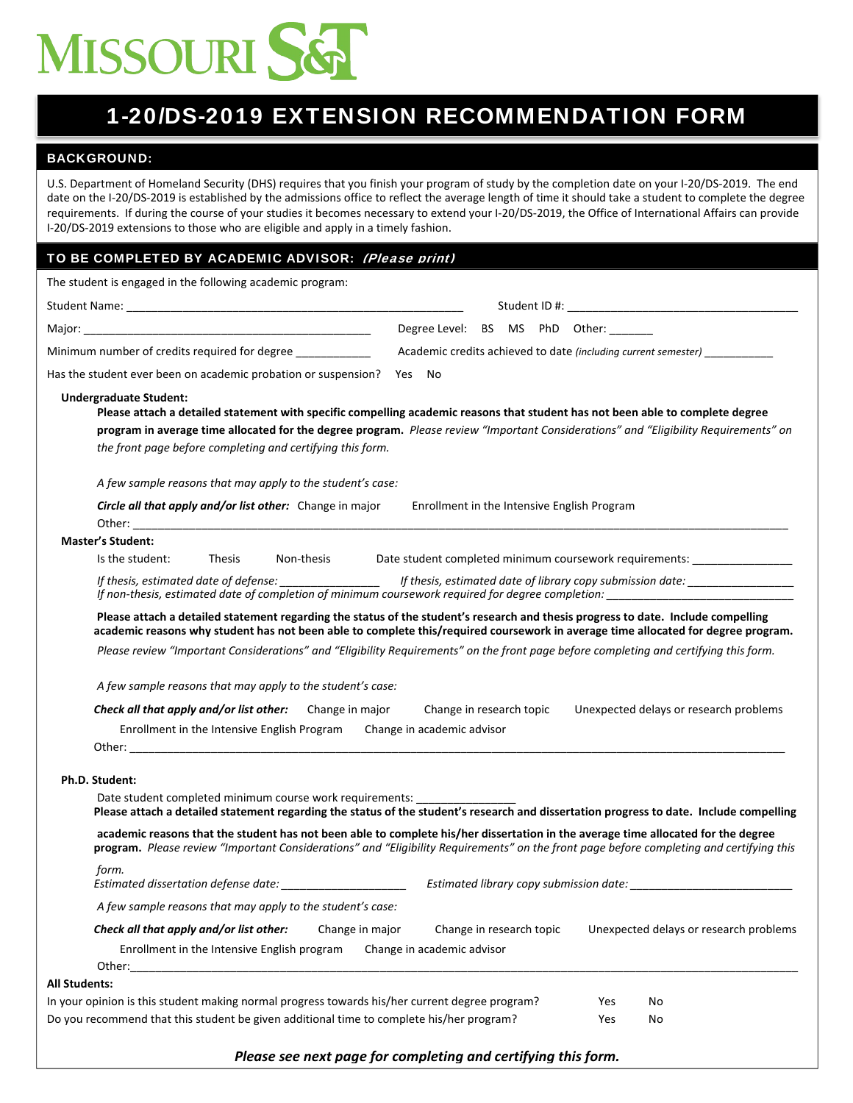# MISSOURI S&T

### 1-20/DS-2019 EXTENSION RECOMMENDATION FORM

#### BACKGROUND:

U.S. Department of Homeland Security (DHS) requires that you finish your program of study by the completion date on your I‐20/DS‐2019. The end date on the I‐20/DS‐2019 is established by the admissions office to reflect the average length of time it should take a student to complete the degree requirements. If during the course of your studies it becomes necessary to extend your I‐20/DS‐2019, the Office of International Affairs can provide I-20/DS-2019 extensions to those who are eligible and apply in a timely fashion.

#### TO BE COMPLETED BY ACADEMIC ADVISOR: (Please print)

| The student is engaged in the following academic program:                                                                                                                                  |                                                                                                                                                                                                                                                                               |  |  |  |
|--------------------------------------------------------------------------------------------------------------------------------------------------------------------------------------------|-------------------------------------------------------------------------------------------------------------------------------------------------------------------------------------------------------------------------------------------------------------------------------|--|--|--|
|                                                                                                                                                                                            |                                                                                                                                                                                                                                                                               |  |  |  |
|                                                                                                                                                                                            | Degree Level: BS MS PhD Other:                                                                                                                                                                                                                                                |  |  |  |
| Minimum number of credits required for degree                                                                                                                                              | Academic credits achieved to date (including current semester)                                                                                                                                                                                                                |  |  |  |
| Has the student ever been on academic probation or suspension? Yes No                                                                                                                      |                                                                                                                                                                                                                                                                               |  |  |  |
| <b>Undergraduate Student:</b><br>the front page before completing and certifying this form.                                                                                                | Please attach a detailed statement with specific compelling academic reasons that student has not been able to complete degree<br>program in average time allocated for the degree program. Please review "Important Considerations" and "Eligibility Requirements" on        |  |  |  |
| A few sample reasons that may apply to the student's case:                                                                                                                                 |                                                                                                                                                                                                                                                                               |  |  |  |
| <b>Circle all that apply and/or list other:</b> Change in major                                                                                                                            | Enrollment in the Intensive English Program                                                                                                                                                                                                                                   |  |  |  |
| <b>Master's Student:</b>                                                                                                                                                                   |                                                                                                                                                                                                                                                                               |  |  |  |
| Is the student:<br><b>Thesis</b><br>Non-thesis                                                                                                                                             | Date student completed minimum coursework requirements: __________________                                                                                                                                                                                                    |  |  |  |
| If thesis, estimated date of defense: __________________                                                                                                                                   | If thesis, estimated date of library copy submission date: _____________________<br>If non-thesis, estimated date of completion of minimum coursework required for degree completion:                                                                                         |  |  |  |
| A few sample reasons that may apply to the student's case:<br>Check all that apply and/or list other:<br>Change in major<br>Enrollment in the Intensive English Program                    | Please review "Important Considerations" and "Eligibility Requirements" on the front page before completing and certifying this form.<br>Unexpected delays or research problems<br>Change in research topic<br>Change in academic advisor                                     |  |  |  |
| Ph.D. Student:                                                                                                                                                                             |                                                                                                                                                                                                                                                                               |  |  |  |
| Date student completed minimum course work requirements:                                                                                                                                   | Please attach a detailed statement regarding the status of the student's research and dissertation progress to date. Include compelling                                                                                                                                       |  |  |  |
|                                                                                                                                                                                            | academic reasons that the student has not been able to complete his/her dissertation in the average time allocated for the degree<br>program. Please review "Important Considerations" and "Eligibility Requirements" on the front page before completing and certifying this |  |  |  |
| form.<br>Estimated dissertation defense date: ________________________                                                                                                                     | Estimated library copy submission date: ________________                                                                                                                                                                                                                      |  |  |  |
| A few sample reasons that may apply to the student's case:                                                                                                                                 |                                                                                                                                                                                                                                                                               |  |  |  |
| Check all that apply and/or list other:<br>Change in major<br>Enrollment in the Intensive English program<br>Other:                                                                        | Change in research topic<br>Unexpected delays or research problems<br>Change in academic advisor                                                                                                                                                                              |  |  |  |
| <b>All Students:</b>                                                                                                                                                                       |                                                                                                                                                                                                                                                                               |  |  |  |
| In your opinion is this student making normal progress towards his/her current degree program?<br>Do you recommend that this student be given additional time to complete his/her program? | Yes<br>No<br>Yes<br>No                                                                                                                                                                                                                                                        |  |  |  |

*Please see next page for completing and certifying this form.*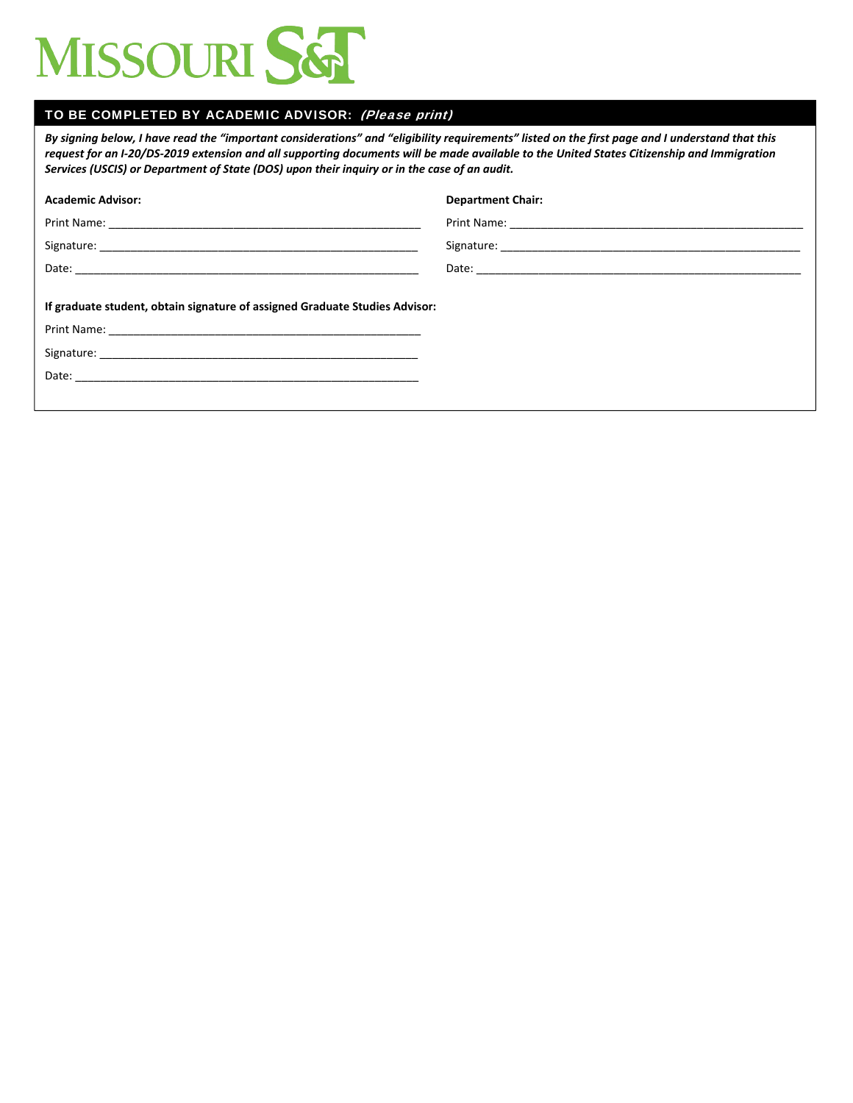

#### TO BE COMPLETED BY ACADEMIC ADVISOR: (Please print)

By signing below, I have read the "important considerations" and "eligibility requirements" listed on the first page and I understand that this request for an I-20/DS-2019 extension and all supporting documents will be made available to the United States Citizenship and Immigration *Services (USCIS) or Department of State (DOS) upon their inquiry or in the case of an audit.*

| <b>Academic Advisor:</b>                                                    | <b>Department Chair:</b> |
|-----------------------------------------------------------------------------|--------------------------|
|                                                                             |                          |
|                                                                             |                          |
|                                                                             |                          |
| If graduate student, obtain signature of assigned Graduate Studies Advisor: |                          |